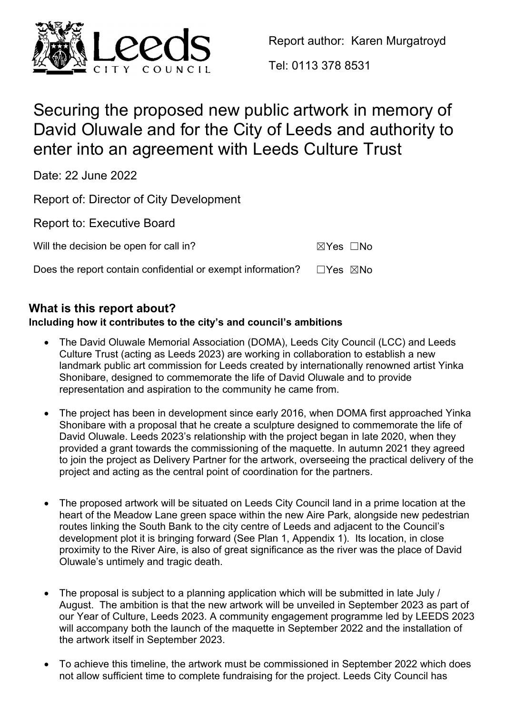

Report author: Karen Murgatroyd

Tel: 0113 378 8531

# Securing the proposed new public artwork in memory of David Oluwale and for the City of Leeds and authority to enter into an agreement with Leeds Culture Trust

Date: 22 June 2022

Report of: Director of City Development

Report to: Executive Board

Will the decision be open for call in?

| ⊠Yes | □No |
|------|-----|
|------|-----|

Does the report contain confidential or exempt information?  $□Yes \triangle$ No

# **What is this report about?**

# **Including how it contributes to the city's and council's ambitions**

- The David Oluwale Memorial Association (DOMA), Leeds City Council (LCC) and Leeds Culture Trust (acting as Leeds 2023) are working in collaboration to establish a new landmark public art commission for Leeds created by internationally renowned artist Yinka Shonibare, designed to commemorate the life of David Oluwale and to provide representation and aspiration to the community he came from.
- The project has been in development since early 2016, when DOMA first approached Yinka Shonibare with a proposal that he create a sculpture designed to commemorate the life of David Oluwale. Leeds 2023's relationship with the project began in late 2020, when they provided a grant towards the commissioning of the maquette. In autumn 2021 they agreed to join the project as Delivery Partner for the artwork, overseeing the practical delivery of the project and acting as the central point of coordination for the partners.
- The proposed artwork will be situated on Leeds City Council land in a prime location at the heart of the Meadow Lane green space within the new Aire Park, alongside new pedestrian routes linking the South Bank to the city centre of Leeds and adjacent to the Council's development plot it is bringing forward (See Plan 1, Appendix 1). Its location, in close proximity to the River Aire, is also of great significance as the river was the place of David Oluwale's untimely and tragic death.
- The proposal is subject to a planning application which will be submitted in late July / August. The ambition is that the new artwork will be unveiled in September 2023 as part of our Year of Culture, Leeds 2023. A community engagement programme led by LEEDS 2023 will accompany both the launch of the maquette in September 2022 and the installation of the artwork itself in September 2023.
- To achieve this timeline, the artwork must be commissioned in September 2022 which does not allow sufficient time to complete fundraising for the project. Leeds City Council has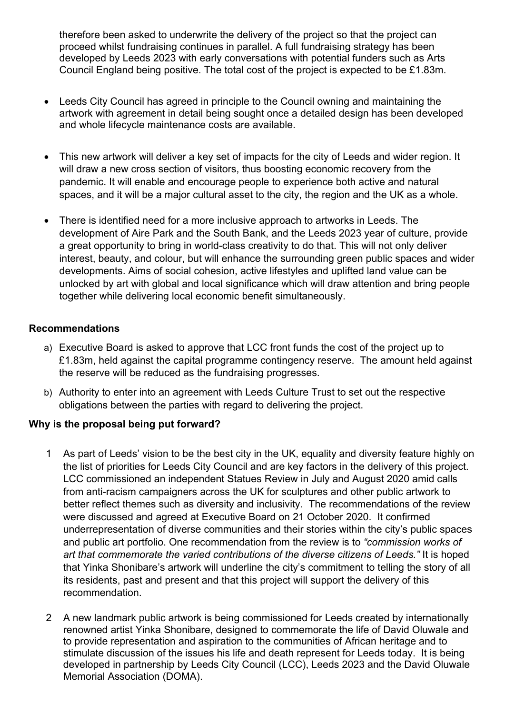therefore been asked to underwrite the delivery of the project so that the project can proceed whilst fundraising continues in parallel. A full fundraising strategy has been developed by Leeds 2023 with early conversations with potential funders such as Arts Council England being positive. The total cost of the project is expected to be £1.83m.

- Leeds City Council has agreed in principle to the Council owning and maintaining the artwork with agreement in detail being sought once a detailed design has been developed and whole lifecycle maintenance costs are available.
- This new artwork will deliver a key set of impacts for the city of Leeds and wider region. It will draw a new cross section of visitors, thus boosting economic recovery from the pandemic. It will enable and encourage people to experience both active and natural spaces, and it will be a major cultural asset to the city, the region and the UK as a whole.
- There is identified need for a more inclusive approach to artworks in Leeds. The development of Aire Park and the South Bank, and the Leeds 2023 year of culture, provide a great opportunity to bring in world-class creativity to do that. This will not only deliver interest, beauty, and colour, but will enhance the surrounding green public spaces and wider developments. Aims of social cohesion, active lifestyles and uplifted land value can be unlocked by art with global and local significance which will draw attention and bring people together while delivering local economic benefit simultaneously.

# **Recommendations**

- a) Executive Board is asked to approve that LCC front funds the cost of the project up to £1.83m, held against the capital programme contingency reserve. The amount held against the reserve will be reduced as the fundraising progresses.
- b) Authority to enter into an agreement with Leeds Culture Trust to set out the respective obligations between the parties with regard to delivering the project.

# **Why is the proposal being put forward?**

- 1 As part of Leeds' vision to be the best city in the UK, equality and diversity feature highly on the list of priorities for Leeds City Council and are key factors in the delivery of this project. LCC commissioned an independent Statues Review in July and August 2020 amid calls from anti-racism campaigners across the UK for sculptures and other public artwork to better reflect themes such as diversity and inclusivity. The recommendations of the review were discussed and agreed at Executive Board on 21 October 2020. It confirmed underrepresentation of diverse communities and their stories within the city's public spaces and public art portfolio. One recommendation from the review is to *"commission works of art that commemorate the varied contributions of the diverse citizens of Leeds."* It is hoped that Yinka Shonibare's artwork will underline the city's commitment to telling the story of all its residents, past and present and that this project will support the delivery of this recommendation.
- 2 A new landmark public artwork is being commissioned for Leeds created by internationally renowned artist Yinka Shonibare, designed to commemorate the life of David Oluwale and to provide representation and aspiration to the communities of African heritage and to stimulate discussion of the issues his life and death represent for Leeds today. It is being developed in partnership by Leeds City Council (LCC), Leeds 2023 and the David Oluwale Memorial Association (DOMA).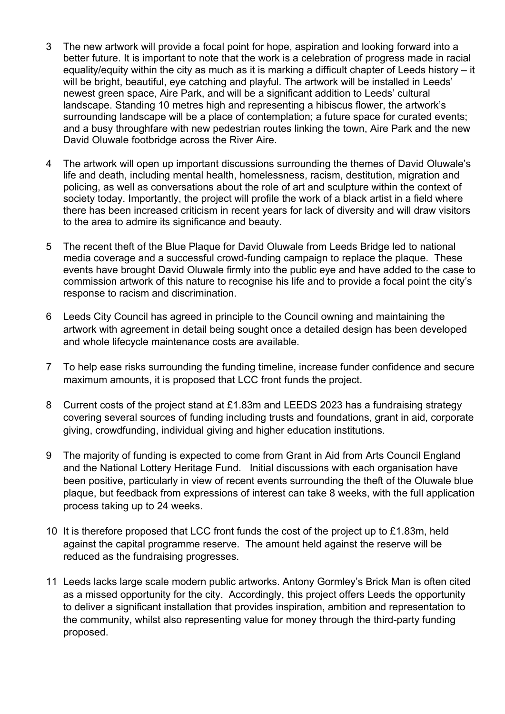- 3 The new artwork will provide a focal point for hope, aspiration and looking forward into a better future. It is important to note that the work is a celebration of progress made in racial equality/equity within the city as much as it is marking a difficult chapter of Leeds history – it will be bright, beautiful, eye catching and playful. The artwork will be installed in Leeds' newest green space, Aire Park, and will be a significant addition to Leeds' cultural landscape. Standing 10 metres high and representing a hibiscus flower, the artwork's surrounding landscape will be a place of contemplation; a future space for curated events; and a busy throughfare with new pedestrian routes linking the town, Aire Park and the new David Oluwale footbridge across the River Aire.
- 4 The artwork will open up important discussions surrounding the themes of David Oluwale's life and death, including mental health, homelessness, racism, destitution, migration and policing, as well as conversations about the role of art and sculpture within the context of society today. Importantly, the project will profile the work of a black artist in a field where there has been increased criticism in recent years for lack of diversity and will draw visitors to the area to admire its significance and beauty.
- 5 The recent theft of the Blue Plaque for David Oluwale from Leeds Bridge led to national media coverage and a successful crowd-funding campaign to replace the plaque. These events have brought David Oluwale firmly into the public eye and have added to the case to commission artwork of this nature to recognise his life and to provide a focal point the city's response to racism and discrimination.
- 6 Leeds City Council has agreed in principle to the Council owning and maintaining the artwork with agreement in detail being sought once a detailed design has been developed and whole lifecycle maintenance costs are available.
- 7 To help ease risks surrounding the funding timeline, increase funder confidence and secure maximum amounts, it is proposed that LCC front funds the project.
- 8 Current costs of the project stand at £1.83m and LEEDS 2023 has a fundraising strategy covering several sources of funding including trusts and foundations, grant in aid, corporate giving, crowdfunding, individual giving and higher education institutions.
- 9 The majority of funding is expected to come from Grant in Aid from Arts Council England and the National Lottery Heritage Fund. Initial discussions with each organisation have been positive, particularly in view of recent events surrounding the theft of the Oluwale blue plaque, but feedback from expressions of interest can take 8 weeks, with the full application process taking up to 24 weeks.
- 10 It is therefore proposed that LCC front funds the cost of the project up to £1.83m, held against the capital programme reserve. The amount held against the reserve will be reduced as the fundraising progresses.
- 11 Leeds lacks large scale modern public artworks. Antony Gormley's Brick Man is often cited as a missed opportunity for the city. Accordingly, this project offers Leeds the opportunity to deliver a significant installation that provides inspiration, ambition and representation to the community, whilst also representing value for money through the third-party funding proposed.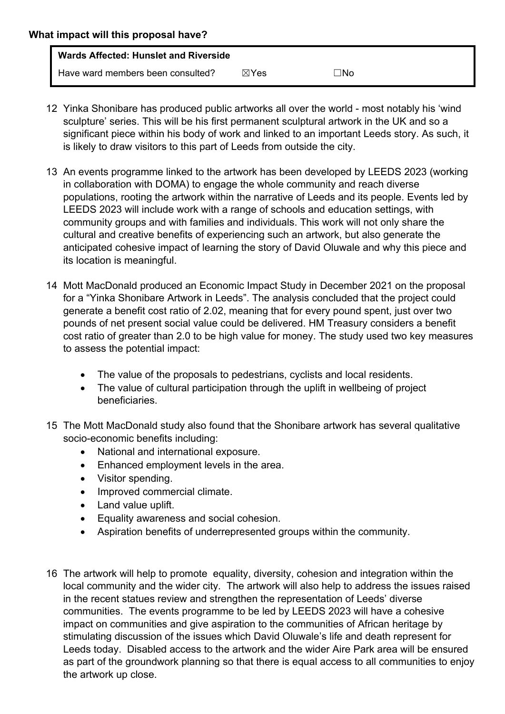- 12 Yinka Shonibare has produced public artworks all over the world most notably his 'wind sculpture' series. This will be his first permanent sculptural artwork in the UK and so a significant piece within his body of work and linked to an important Leeds story. As such, it is likely to draw visitors to this part of Leeds from outside the city.
- 13 An events programme linked to the artwork has been developed by LEEDS 2023 (working in collaboration with DOMA) to engage the whole community and reach diverse populations, rooting the artwork within the narrative of Leeds and its people. Events led by LEEDS 2023 will include work with a range of schools and education settings, with community groups and with families and individuals. This work will not only share the cultural and creative benefits of experiencing such an artwork, but also generate the anticipated cohesive impact of learning the story of David Oluwale and why this piece and its location is meaningful.
- 14 Mott MacDonald produced an Economic Impact Study in December 2021 on the proposal for a "Yinka Shonibare Artwork in Leeds". The analysis concluded that the project could generate a benefit cost ratio of 2.02, meaning that for every pound spent, just over two pounds of net present social value could be delivered. HM Treasury considers a benefit cost ratio of greater than 2.0 to be high value for money. The study used two key measures to assess the potential impact:
	- The value of the proposals to pedestrians, cyclists and local residents.
	- The value of cultural participation through the uplift in wellbeing of project beneficiaries.
- 15 The Mott MacDonald study also found that the Shonibare artwork has several qualitative socio-economic benefits including:
	- National and international exposure.
	- Enhanced employment levels in the area.
	- Visitor spending.
	- Improved commercial climate.
	- Land value uplift.
	- Equality awareness and social cohesion.
	- Aspiration benefits of underrepresented groups within the community.
- 16 The artwork will help to promote equality, diversity, cohesion and integration within the local community and the wider city. The artwork will also help to address the issues raised in the recent statues review and strengthen the representation of Leeds' diverse communities. The events programme to be led by LEEDS 2023 will have a cohesive impact on communities and give aspiration to the communities of African heritage by stimulating discussion of the issues which David Oluwale's life and death represent for Leeds today. Disabled access to the artwork and the wider Aire Park area will be ensured as part of the groundwork planning so that there is equal access to all communities to enjoy the artwork up close.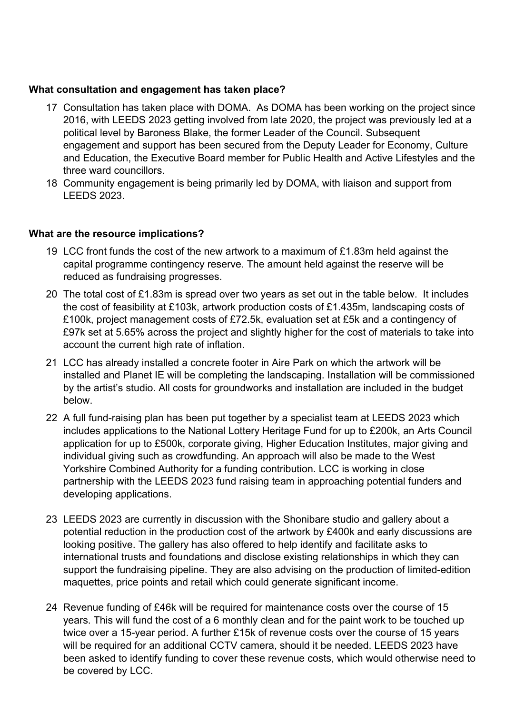## **What consultation and engagement has taken place?**

- 17 Consultation has taken place with DOMA. As DOMA has been working on the project since 2016, with LEEDS 2023 getting involved from late 2020, the project was previously led at a political level by Baroness Blake, the former Leader of the Council. Subsequent engagement and support has been secured from the Deputy Leader for Economy, Culture and Education, the Executive Board member for Public Health and Active Lifestyles and the three ward councillors.
- 18 Community engagement is being primarily led by DOMA, with liaison and support from LEEDS 2023.

### **What are the resource implications?**

- 19 LCC front funds the cost of the new artwork to a maximum of £1.83m held against the capital programme contingency reserve. The amount held against the reserve will be reduced as fundraising progresses.
- 20 The total cost of £1.83m is spread over two years as set out in the table below. It includes the cost of feasibility at £103k, artwork production costs of £1.435m, landscaping costs of £100k, project management costs of £72.5k, evaluation set at £5k and a contingency of £97k set at 5.65% across the project and slightly higher for the cost of materials to take into account the current high rate of inflation.
- 21 LCC has already installed a concrete footer in Aire Park on which the artwork will be installed and Planet IE will be completing the landscaping. Installation will be commissioned by the artist's studio. All costs for groundworks and installation are included in the budget below.
- 22 A full fund-raising plan has been put together by a specialist team at LEEDS 2023 which includes applications to the National Lottery Heritage Fund for up to £200k, an Arts Council application for up to £500k, corporate giving, Higher Education Institutes, major giving and individual giving such as crowdfunding. An approach will also be made to the West Yorkshire Combined Authority for a funding contribution. LCC is working in close partnership with the LEEDS 2023 fund raising team in approaching potential funders and developing applications.
- 23 LEEDS 2023 are currently in discussion with the Shonibare studio and gallery about a potential reduction in the production cost of the artwork by £400k and early discussions are looking positive. The gallery has also offered to help identify and facilitate asks to international trusts and foundations and disclose existing relationships in which they can support the fundraising pipeline. They are also advising on the production of limited-edition maquettes, price points and retail which could generate significant income.
- 24 Revenue funding of £46k will be required for maintenance costs over the course of 15 years. This will fund the cost of a 6 monthly clean and for the paint work to be touched up twice over a 15-year period. A further £15k of revenue costs over the course of 15 years will be required for an additional CCTV camera, should it be needed. LEEDS 2023 have been asked to identify funding to cover these revenue costs, which would otherwise need to be covered by LCC.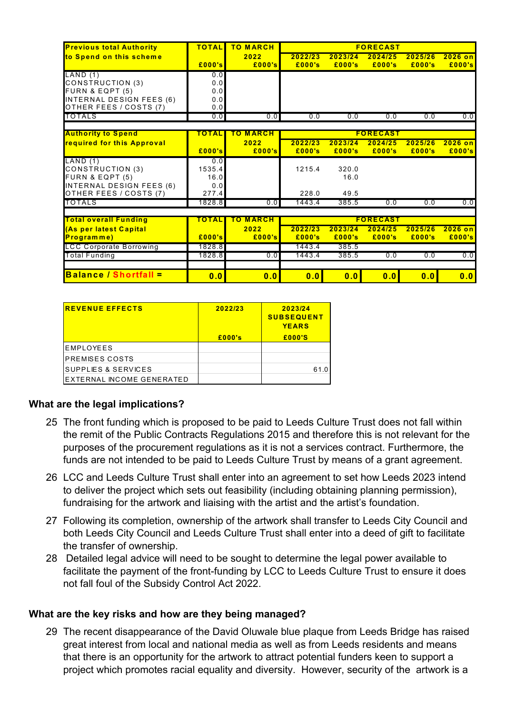| <b>Previous total Authority</b> | <b>TOTAL</b> | <b>TO MARCH</b>    | <b>FORECAST</b> |                 |         |         |           |  |  |
|---------------------------------|--------------|--------------------|-----------------|-----------------|---------|---------|-----------|--|--|
| to Spend on this scheme         |              | 2022               | 2022/23         | 2023/24         | 2024/25 | 2025/26 | $2026$ on |  |  |
|                                 | £000's       | £000's             | £000's          | £000's          | £000's  | £000's  | £000's    |  |  |
| LAND(1)                         | 0.0          |                    |                 |                 |         |         |           |  |  |
| CONSTRUCTION (3)                | 0.0          |                    |                 |                 |         |         |           |  |  |
| FURN & EQPT (5)                 | 0.0          |                    |                 |                 |         |         |           |  |  |
| INTERNAL DESIGN FEES (6)        | 0.0          |                    |                 |                 |         |         |           |  |  |
| OTHER FEES / COSTS (7)          | 0.0          |                    |                 |                 |         |         |           |  |  |
| TOTALS                          | 0.0          | 0.0                | 0.0             | 0.0             | 0.0     | 0.0     | 0.0       |  |  |
|                                 |              |                    |                 |                 |         |         |           |  |  |
| <b>Authority to Spend</b>       | <b>OTAL</b>  | TO MARCH           |                 | <b>FORECAST</b> |         |         |           |  |  |
| required for this Approval      |              | 2022               | 2022/23         | 2023/24         | 2024/25 | 2025/26 | $2026$ on |  |  |
|                                 | E000's       | £000's             | £000's          | £000's          | £000's  | £000's  | £000's    |  |  |
| LAND(1)                         | 0.0          |                    |                 |                 |         |         |           |  |  |
| CONSTRUCTION (3)                | 1535.4       |                    | 1215.4          | 320.0           |         |         |           |  |  |
| FURN & EQPT (5)                 | 16.0         |                    |                 | 16.0            |         |         |           |  |  |
| INTERNAL DESIGN FEES (6)        | 0.0          |                    |                 |                 |         |         |           |  |  |
| OTHER FEES / COSTS (7)          | 277.4        |                    | 228.0           | 49.5            |         |         |           |  |  |
| TOTALS                          | 1828.81      | 0.0                | 1443.4          | 385.5           | 0.0     | 0.0     | 0.0       |  |  |
|                                 |              |                    |                 |                 |         |         |           |  |  |
| <b>Total overall Funding</b>    | <b>OTAL</b>  | <b>MARCH</b><br>го | <b>FORECAST</b> |                 |         |         |           |  |  |
| (As per latest Capital          |              | 2022               | 2022/23         | 2023/24         | 2024/25 | 2025/26 | $2026$ on |  |  |
| Programme)                      | £000's       | £000's             | £000's          | £000's          | £000's  | £000's  | £000's    |  |  |
| <b>LCC Corporate Borrowing</b>  | 1828.8       |                    | 1443.4          | 385.5           |         |         |           |  |  |
| <b>Total Funding</b>            | 1828.8       | 0.0                | 1443.4          | 385.5           | 0.0     | 0.0     | 0.0       |  |  |
|                                 |              |                    |                 |                 |         |         |           |  |  |
| <b>Balance / Shortfall =</b>    | 0.0          | 0.0                | 0.0             | 0.0             | 0.0     | 0.0     | 0.0       |  |  |

| <b>REVENUE EFFECTS</b>         | 2022/23 | 2023/24<br><b>SUBSEQUENT</b><br><b>YEARS</b> |
|--------------------------------|---------|----------------------------------------------|
|                                | £000's  | £000'S                                       |
| EMPLOYEES                      |         |                                              |
| <b>PREMISES COSTS</b>          |         |                                              |
| <b>SUPPLIES &amp; SERVICES</b> |         | 61.0                                         |
| EXTERNAL INCOME GENERATED      |         |                                              |

# **What are the legal implications?**

- 25 The front funding which is proposed to be paid to Leeds Culture Trust does not fall within the remit of the Public Contracts Regulations 2015 and therefore this is not relevant for the purposes of the procurement regulations as it is not a services contract. Furthermore, the funds are not intended to be paid to Leeds Culture Trust by means of a grant agreement.
- 26 LCC and Leeds Culture Trust shall enter into an agreement to set how Leeds 2023 intend to deliver the project which sets out feasibility (including obtaining planning permission), fundraising for the artwork and liaising with the artist and the artist's foundation.
- 27 Following its completion, ownership of the artwork shall transfer to Leeds City Council and both Leeds City Council and Leeds Culture Trust shall enter into a deed of gift to facilitate the transfer of ownership.
- 28 Detailed legal advice will need to be sought to determine the legal power available to facilitate the payment of the front-funding by LCC to Leeds Culture Trust to ensure it does not fall foul of the Subsidy Control Act 2022.

#### **What are the key risks and how are they being managed?**

29 The recent disappearance of the David Oluwale blue plaque from Leeds Bridge has raised great interest from local and national media as well as from Leeds residents and means that there is an opportunity for the artwork to attract potential funders keen to support a project which promotes racial equality and diversity. However, security of the artwork is a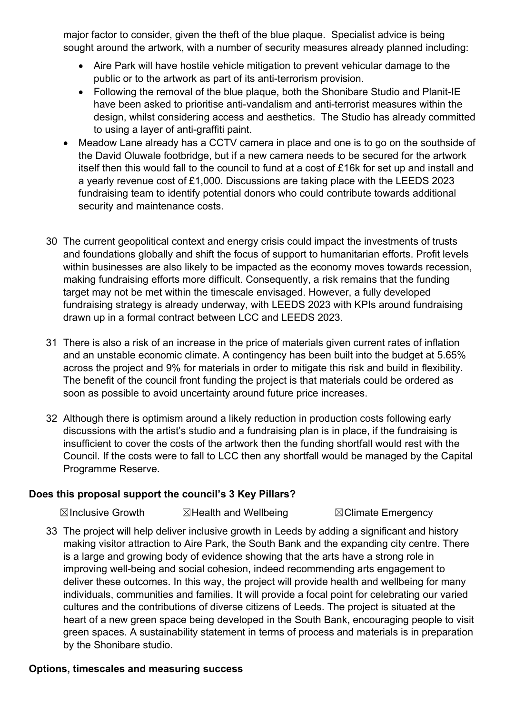major factor to consider, given the theft of the blue plaque. Specialist advice is being sought around the artwork, with a number of security measures already planned including:

- Aire Park will have hostile vehicle mitigation to prevent vehicular damage to the public or to the artwork as part of its anti-terrorism provision.
- Following the removal of the blue plaque, both the Shonibare Studio and Planit-IE have been asked to prioritise anti-vandalism and anti-terrorist measures within the design, whilst considering access and aesthetics. The Studio has already committed to using a layer of anti-graffiti paint.
- Meadow Lane already has a CCTV camera in place and one is to go on the southside of the David Oluwale footbridge, but if a new camera needs to be secured for the artwork itself then this would fall to the council to fund at a cost of £16k for set up and install and a yearly revenue cost of £1,000. Discussions are taking place with the LEEDS 2023 fundraising team to identify potential donors who could contribute towards additional security and maintenance costs.
- 30 The current geopolitical context and energy crisis could impact the investments of trusts and foundations globally and shift the focus of support to humanitarian efforts. Profit levels within businesses are also likely to be impacted as the economy moves towards recession, making fundraising efforts more difficult. Consequently, a risk remains that the funding target may not be met within the timescale envisaged. However, a fully developed fundraising strategy is already underway, with LEEDS 2023 with KPIs around fundraising drawn up in a formal contract between LCC and LEEDS 2023.
- 31 There is also a risk of an increase in the price of materials given current rates of inflation and an unstable economic climate. A contingency has been built into the budget at 5.65% across the project and 9% for materials in order to mitigate this risk and build in flexibility. The benefit of the council front funding the project is that materials could be ordered as soon as possible to avoid uncertainty around future price increases.
- 32 Although there is optimism around a likely reduction in production costs following early discussions with the artist's studio and a fundraising plan is in place, if the fundraising is insufficient to cover the costs of the artwork then the funding shortfall would rest with the Council. If the costs were to fall to LCC then any shortfall would be managed by the Capital Programme Reserve.

# **Does this proposal support the council's 3 Key Pillars?**

☒Inclusive Growth ☒Health and Wellbeing ☒Climate Emergency

33 The project will help deliver inclusive growth in Leeds by adding a significant and history making visitor attraction to Aire Park, the South Bank and the expanding city centre. There is a large and growing body of evidence showing that the arts have a strong role in improving well-being and social cohesion, indeed recommending arts engagement to deliver these outcomes. In this way, the project will provide health and wellbeing for many individuals, communities and families. It will provide a focal point for celebrating our varied cultures and the contributions of diverse citizens of Leeds. The project is situated at the heart of a new green space being developed in the South Bank, encouraging people to visit green spaces. A sustainability statement in terms of process and materials is in preparation by the Shonibare studio.

# **Options, timescales and measuring success**